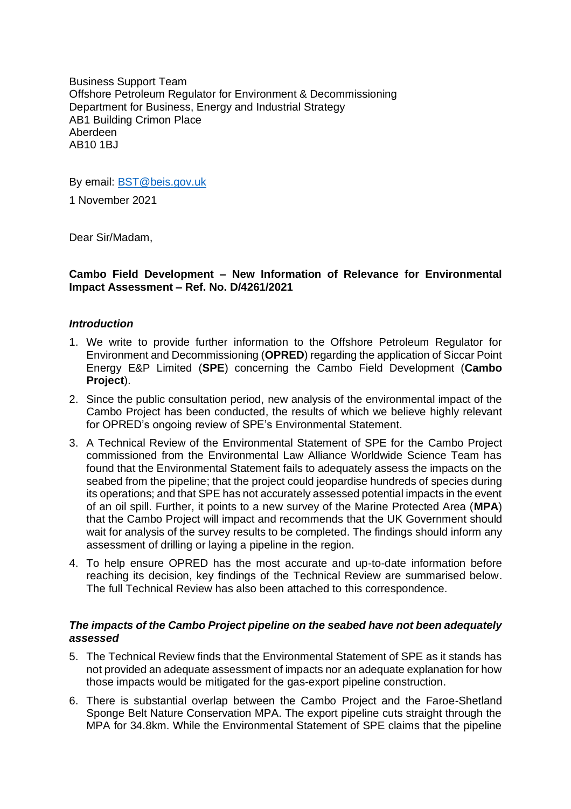Business Support Team Offshore Petroleum Regulator for Environment & Decommissioning Department for Business, Energy and Industrial Strategy AB1 Building Crimon Place Aberdeen AB10 1BJ

By email: [BST@beis.gov.uk](mailto:BST@beis.gov.uk)

1 November 2021

Dear Sir/Madam,

## **Cambo Field Development – New Information of Relevance for Environmental Impact Assessment – Ref. No. D/4261/2021**

### *Introduction*

- 1. We write to provide further information to the Offshore Petroleum Regulator for Environment and Decommissioning (**OPRED**) regarding the application of Siccar Point Energy E&P Limited (**SPE**) concerning the Cambo Field Development (**Cambo Project**).
- 2. Since the public consultation period, new analysis of the environmental impact of the Cambo Project has been conducted, the results of which we believe highly relevant for OPRED's ongoing review of SPE's Environmental Statement.
- 3. A Technical Review of the Environmental Statement of SPE for the Cambo Project commissioned from the Environmental Law Alliance Worldwide Science Team has found that the Environmental Statement fails to adequately assess the impacts on the seabed from the pipeline; that the project could jeopardise hundreds of species during its operations; and that SPE has not accurately assessed potential impacts in the event of an oil spill. Further, it points to a new survey of the Marine Protected Area (**MPA**) that the Cambo Project will impact and recommends that the UK Government should wait for analysis of the survey results to be completed. The findings should inform any assessment of drilling or laying a pipeline in the region.
- 4. To help ensure OPRED has the most accurate and up-to-date information before reaching its decision, key findings of the Technical Review are summarised below. The full Technical Review has also been attached to this correspondence.

### *The impacts of the Cambo Project pipeline on the seabed have not been adequately assessed*

- 5. The Technical Review finds that the Environmental Statement of SPE as it stands has not provided an adequate assessment of impacts nor an adequate explanation for how those impacts would be mitigated for the gas-export pipeline construction.
- 6. There is substantial overlap between the Cambo Project and the Faroe-Shetland Sponge Belt Nature Conservation MPA. The export pipeline cuts straight through the MPA for 34.8km. While the Environmental Statement of SPE claims that the pipeline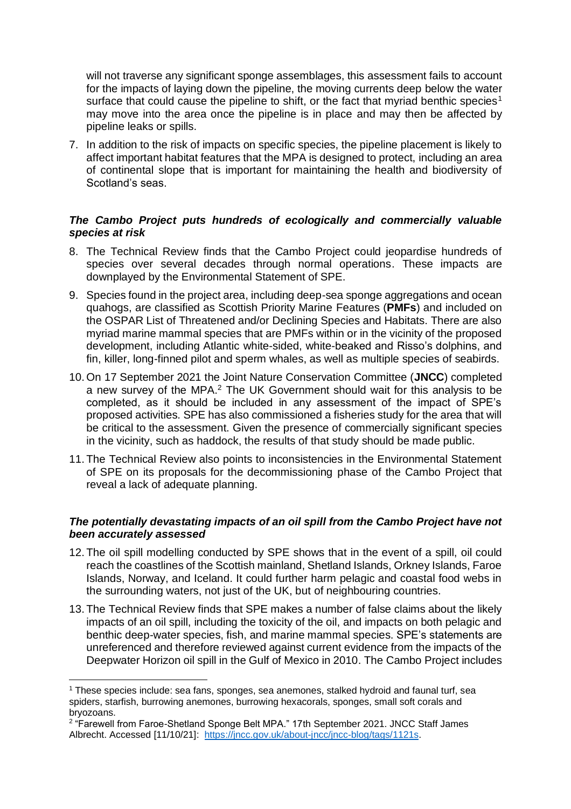will not traverse any significant sponge assemblages, this assessment fails to account for the impacts of laying down the pipeline, the moving currents deep below the water surface that could cause the pipeline to shift, or the fact that myriad benthic species<sup>1</sup> may move into the area once the pipeline is in place and may then be affected by pipeline leaks or spills.

7. In addition to the risk of impacts on specific species, the pipeline placement is likely to affect important habitat features that the MPA is designed to protect, including an area of continental slope that is important for maintaining the health and biodiversity of Scotland's seas.

# *The Cambo Project puts hundreds of ecologically and commercially valuable species at risk*

- 8. The Technical Review finds that the Cambo Project could jeopardise hundreds of species over several decades through normal operations. These impacts are downplayed by the Environmental Statement of SPE.
- 9. Species found in the project area, including deep-sea sponge aggregations and ocean quahogs, are classified as Scottish Priority Marine Features (**PMFs**) and included on the OSPAR List of Threatened and/or Declining Species and Habitats. There are also myriad marine mammal species that are PMFs within or in the vicinity of the proposed development, including Atlantic white-sided, white-beaked and Risso's dolphins, and fin, killer, long-finned pilot and sperm whales, as well as multiple species of seabirds.
- 10. On 17 September 2021 the Joint Nature Conservation Committee (**JNCC**) completed a new survey of the MPA.<sup>2</sup> The UK Government should wait for this analysis to be completed, as it should be included in any assessment of the impact of SPE's proposed activities. SPE has also commissioned a fisheries study for the area that will be critical to the assessment. Given the presence of commercially significant species in the vicinity, such as haddock, the results of that study should be made public.
- 11. The Technical Review also points to inconsistencies in the Environmental Statement of SPE on its proposals for the decommissioning phase of the Cambo Project that reveal a lack of adequate planning.

## *The potentially devastating impacts of an oil spill from the Cambo Project have not been accurately assessed*

- 12. The oil spill modelling conducted by SPE shows that in the event of a spill, oil could reach the coastlines of the Scottish mainland, Shetland Islands, Orkney Islands, Faroe Islands, Norway, and Iceland. It could further harm pelagic and coastal food webs in the surrounding waters, not just of the UK, but of neighbouring countries.
- 13. The Technical Review finds that SPE makes a number of false claims about the likely impacts of an oil spill, including the toxicity of the oil, and impacts on both pelagic and benthic deep-water species, fish, and marine mammal species. SPE's statements are unreferenced and therefore reviewed against current evidence from the impacts of the Deepwater Horizon oil spill in the Gulf of Mexico in 2010. The Cambo Project includes

<sup>1</sup> These species include: sea fans, sponges, sea anemones, stalked hydroid and faunal turf, sea spiders, starfish, burrowing anemones, burrowing hexacorals, sponges, small soft corals and bryozoans.

<sup>&</sup>lt;sup>2</sup> "Farewell from Faroe-Shetland Sponge Belt MPA." 17th September 2021. JNCC Staff James Albrecht. Accessed [11/10/21]: [https://jncc.gov.uk/about-jncc/jncc-blog/tags/1121s.](https://jncc.gov.uk/about-jncc/jncc-blog/tags/1121s)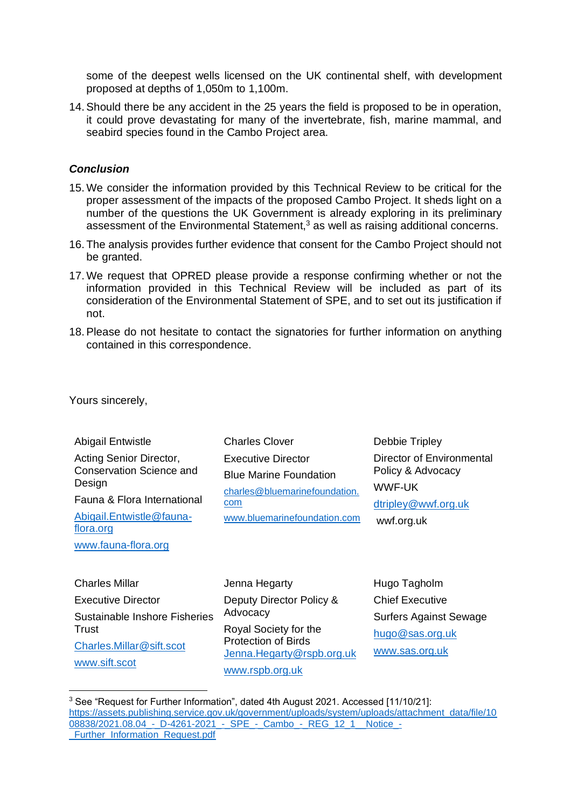some of the deepest wells licensed on the UK continental shelf, with development proposed at depths of 1,050m to 1,100m.

14.Should there be any accident in the 25 years the field is proposed to be in operation, it could prove devastating for many of the invertebrate, fish, marine mammal, and seabird species found in the Cambo Project area.

## *Conclusion*

- 15. We consider the information provided by this Technical Review to be critical for the proper assessment of the impacts of the proposed Cambo Project. It sheds light on a number of the questions the UK Government is already exploring in its preliminary assessment of the Environmental Statement, $3$  as well as raising additional concerns.
- 16. The analysis provides further evidence that consent for the Cambo Project should not be granted.
- 17. We request that OPRED please provide a response confirming whether or not the information provided in this Technical Review will be included as part of its consideration of the Environmental Statement of SPE, and to set out its justification if not.
- 18.Please do not hesitate to contact the signatories for further information on anything contained in this correspondence.

Yours sincerely,

Abigail Entwistle Acting Senior Director, Conservation Science and **Design** Fauna & Flora International

[Abigail.Entwistle@fauna](mailto:Abigail.Entwistle@fauna-flora.org)[flora.org](mailto:Abigail.Entwistle@fauna-flora.org) [www.fauna-flora.org](http://www.fauna-flora.org/)

Charles Clover Executive Director Blue Marine Foundation [charles@bluemarinefoundation.](mailto:charles@bluemarinefoundation.com) [com](mailto:charles@bluemarinefoundation.com) [www.bluemarinefoundation.com](http://www.bluemarinefoundation.com/)

Debbie Tripley Director of Environmental Policy & Advocacy WWF-UK [dtripley@wwf.org.uk](mailto:dtripley@wwf.org.uk) wwf.org.uk

Charles Millar Executive Director Sustainable Inshore Fisheries **Trust** [Charles.Millar@sift.scot](mailto:Charles.Millar@sift.scot) [www.sift.scot](http://www.sift.scot/)

Jenna Hegarty Deputy Director Policy & Advocacy Royal Society for the Protection of Birds [Jenna.Hegarty@rspb.org.uk](mailto:Jenna.Hegarty@rspb.org.uk) [www.rspb.org.uk](http://www.rspb.org.uk/)

Hugo Tagholm Chief Executive Surfers Against Sewage [hugo@sas.org.uk](mailto:hugo@sas.org.uk) [www.sas.org.uk](http://www.sas.org.uk/)

<sup>&</sup>lt;sup>3</sup> See "Request for Further Information", dated 4th August 2021. Accessed [11/10/21]: [https://assets.publishing.service.gov.uk/government/uploads/system/uploads/attachment\\_data/file/10](https://assets.publishing.service.gov.uk/government/uploads/system/uploads/attachment_data/file/1008838/2021.08.04_-_D-4261-2021_-_SPE_-_Cambo_-_REG_12_1__Notice_-_Further_Information_Request.pdf) 08838/2021.08.04 - D-4261-2021 - SPE - Cambo - REG 12 1 Notice -Further\_Information\_Request.pdf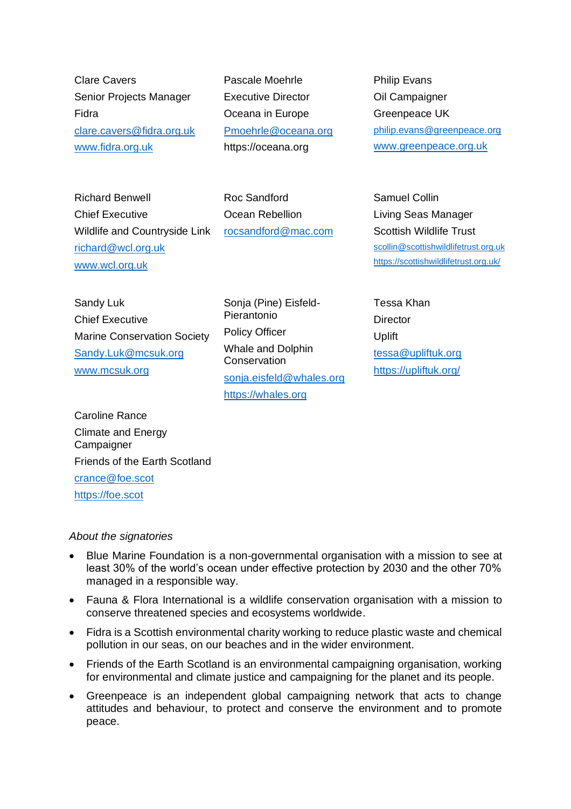Clare Cavers Senior Projects Manager Fidra [clare.cavers@fidra.org.uk](mailto:clare.cavers@fidra.org.uk) [www.fidra.org.uk](http://www.fidra.org.uk/) 

Pascale Moehrle Executive Director Oceana in Europe [Pmoehrle@oceana.org](mailto:Pmoehrle@oceana.org) https://oceana.org

Philip Evans Oil Campaigner Greenpeace UK [philip.evans@greenpeace.org](mailto:philip.evans@greenpeace.org) [www.greenpeace.org.uk](http://www.greenpeace.org.uk/)

Richard Benwell Chief Executive Wildlife and Countryside Link [richard@wcl.org.uk](mailto:richard@wcl.org.uk) [www.wcl.org.uk](http://www.wcl.org.uk/)

Roc Sandford Ocean Rebellion [rocsandford@mac.com](mailto:rocsandford@mac.com)

Samuel Collin Living Seas Manager Scottish Wildlife Trust [scollin@scottishwildlifetrust.org.uk](mailto:scollin@scottishwildlifetrust.org.uk) <https://scottishwildlifetrust.org.uk/>

Sandy Luk Chief Executive Marine Conservation Society [Sandy.Luk@mcsuk.org](mailto:Sandy.Luk@mcsuk.org) [www.mcsuk.org](http://www.mcsuk.org/)

Sonja (Pine) Eisfeld-Pierantonio Policy Officer Whale and Dolphin **Conservation** [sonja.eisfeld@whales.org](mailto:sonja.eisfeld@whales.org) [https://whales.org](https://whales.org/)

Tessa Khan **Director** Uplift [tessa@upliftuk.org](mailto:tessa@upliftuk.org)  <https://upliftuk.org/>

Caroline Rance Climate and Energy **Campaigner** Friends of the Earth Scotland [crance@foe.scot](mailto:crance@foe.scot)  [https://foe.scot](https://foe.scot/) 

### *About the signatories*

- Blue Marine Foundation is a non-governmental organisation with a mission to see at least 30% of the world's ocean under effective protection by 2030 and the other 70% managed in a responsible way.
- Fauna & Flora International is a wildlife conservation organisation with a mission to conserve threatened species and ecosystems worldwide.
- Fidra is a Scottish environmental charity working to reduce plastic waste and chemical pollution in our seas, on our beaches and in the wider environment.
- Friends of the Earth Scotland is an environmental campaigning organisation, working for environmental and climate justice and campaigning for the planet and its people.
- Greenpeace is an independent global campaigning network that acts to change attitudes and behaviour, to protect and conserve the environment and to promote peace.